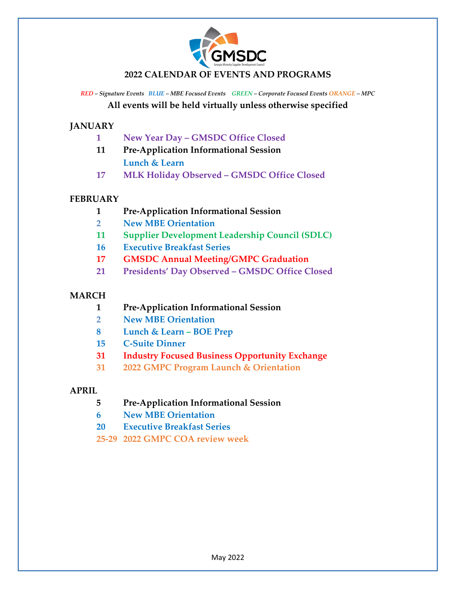

### **2022 CALENDAR OF EVENTS AND PROGRAMS**

*RED – Signature Events BLUE – MBE Focused Events GREEN – Corporate Focused Events ORANGE – MPC* **All events will be held virtually unless otherwise specified**

**JANUARY**

- **1 New Year Day GMSDC Office Closed**
- **11 Pre-Application Informational Session Lunch & Learn**
- **17 MLK Holiday Observed GMSDC Office Closed**

### **FEBRUARY**

- **1 Pre-Application Informational Session**
- **2 New MBE Orientation**
- **11 Supplier Development Leadership Council (SDLC)**
- **16 Executive Breakfast Series**
- **17 GMSDC Annual Meeting/GMPC Graduation**
- **21 Presidents' Day Observed GMSDC Office Closed**

### **MARCH**

- **1 Pre-Application Informational Session**
- **2 New MBE Orientation**
- **8 Lunch & Learn – BOE Prep**
- **15 C-Suite Dinner**
- **31 Industry Focused Business Opportunity Exchange**
- **31 2022 GMPC Program Launch & Orientation**

### **APRIL**

- **5 Pre-Application Informational Session**
- **6 New MBE Orientation**
- **20 Executive Breakfast Series**
- **25-29 2022 GMPC COA review week**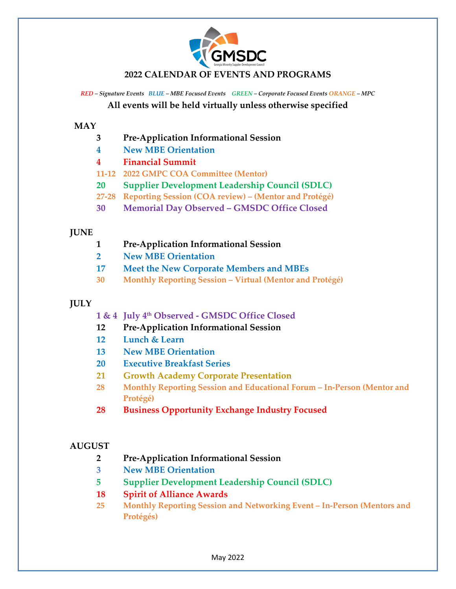

### **2022 CALENDAR OF EVENTS AND PROGRAMS**

*RED – Signature Events BLUE – MBE Focused Events GREEN – Corporate Focused Events ORANGE – MPC* **All events will be held virtually unless otherwise specified**

#### **MAY**

- **3 Pre-Application Informational Session**
- **4 New MBE Orientation**
- **4 Financial Summit**
- **11-12 2022 GMPC COA Committee (Mentor)**
- **20 Supplier Development Leadership Council (SDLC)**
- **27-28 Reporting Session (COA review) (Mentor and Protégé)**
- **30 Memorial Day Observed GMSDC Office Closed**

### **JUNE**

- **1 Pre-Application Informational Session**
- **2 New MBE Orientation**
- **17 Meet the New Corporate Members and MBEs**
- **30 Monthly Reporting Session Virtual (Mentor and Protégé)**

### **JULY**

- **1 & 4 July 4th Observed GMSDC Office Closed**
- **12 Pre-Application Informational Session**
- **12 Lunch & Learn**
- **13 New MBE Orientation**
- **20 Executive Breakfast Series**
- **21 Growth Academy Corporate Presentation**
- **28 Monthly Reporting Session and Educational Forum In-Person (Mentor and Protégé)**
- **28 Business Opportunity Exchange Industry Focused**

# **AUGUST**

- **2 Pre-Application Informational Session**
- **3 New MBE Orientation**
- **5 Supplier Development Leadership Council (SDLC)**

# **18 Spirit of Alliance Awards**

**25 Monthly Reporting Session and Networking Event – In-Person (Mentors and Protégés)**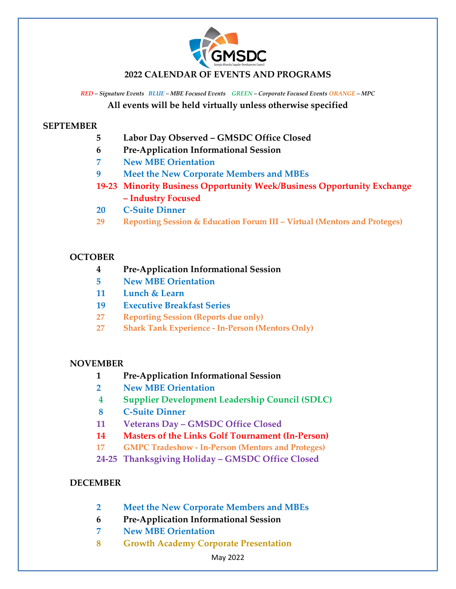

### **2022 CALENDAR OF EVENTS AND PROGRAMS**

*RED – Signature Events BLUE – MBE Focused Events GREEN – Corporate Focused Events ORANGE – MPC* **All events will be held virtually unless otherwise specified**

#### **SEPTEMBER**

- **5 Labor Day Observed GMSDC Office Closed**
- **6 Pre-Application Informational Session**
- **7 New MBE Orientation**
- **9 Meet the New Corporate Members and MBEs**
- **19-23 Minority Business Opportunity Week/Business Opportunity Exchange – Industry Focused**
- **20 C-Suite Dinner**
- **29 Reporting Session & Education Forum III Virtual (Mentors and Proteges)**

### **OCTOBER**

- **4 Pre-Application Informational Session**
- **5 New MBE Orientation**
- **11 Lunch & Learn**
- **19 Executive Breakfast Series**
- **27 Reporting Session (Reports due only)**
- **27 Shark Tank Experience In-Person (Mentors Only)**

### **NOVEMBER**

- **1 Pre-Application Informational Session**
- **2 New MBE Orientation**
- **4 Supplier Development Leadership Council (SDLC)**
- **8 C-Suite Dinner**
- **11 Veterans Day GMSDC Office Closed**
- **14 Masters of the Links Golf Tournament (In-Person)**
- **17 GMPC Tradeshow In-Person (Mentors and Proteges)**
- **24-25 Thanksgiving Holiday GMSDC Office Closed**

# **DECEMBER**

- **2 Meet the New Corporate Members and MBEs**
- **6 Pre-Application Informational Session**
- **7 New MBE Orientation**
- **8 Growth Academy Corporate Presentation**